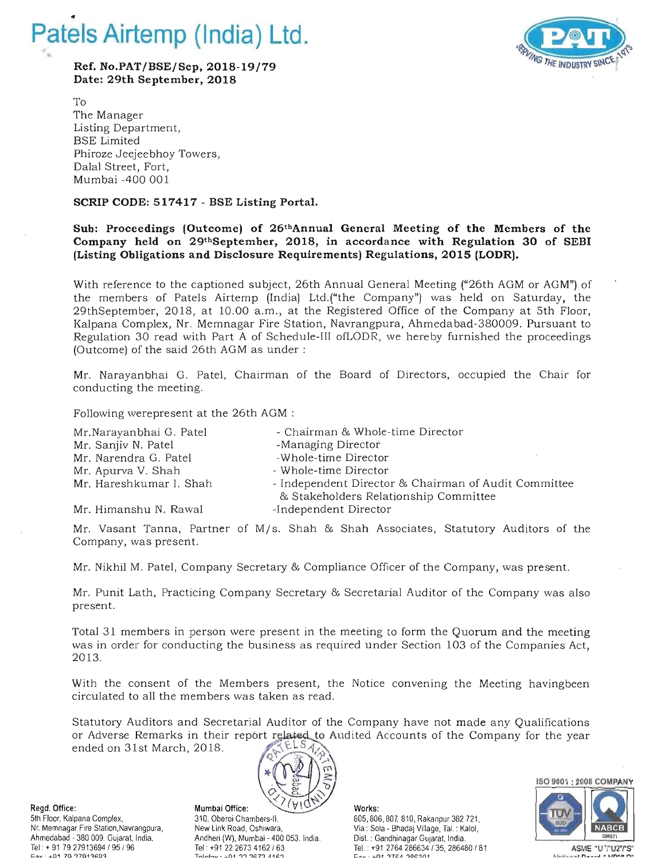

**Ref. No.PAT/BSE/Sep, 2018-19/79 Date: 29th September, 2018** 



To The Manager Listing Department, BSE Limited Phiroze Jeejeebhoy Towers, Dalal Street, Fort, Mumbai -400 001

## **SCRIP CODE: 517417 - BSE Listing Portal.**

## **Sub: Proceedings (Outcome) of 26thAnnual General Meeting of the Members of the Company held on 29thSeptember, 2018, in accordance with Regulation 30 of SEBI (Listing Obligations and Disclosure Requirements) Regulations, 2015 (LODR).**

With reference to the captioned subject, 26th Annual General Meeting ("26th AGM or AGM") of the members of Patels Airtemp (India) Ltd.("the Company") was held on Saturday, the 29thSeptember, 2018, at 10.00 a.m., at the Registered Office of the Company at 5th Floor, Kalpana Complex, Nr. Memnagar Fire Station, Navrangpura, Ahmedabad-380009. Pursuant to Regulation 30 read with Part A of Schedule-III ofLODR, we hereby furnished the proceedings (Outcome) of the said 26th AGM as under:

Mr. Narayanbhai G. Patel, Chairman of the Board of Directors, occupied the Chair for conducting the meeting.

Following werepresent at the 26th AGM :

| Mr.Narayanbhai G. Patel | - Chairman & Whole-time Director                               |
|-------------------------|----------------------------------------------------------------|
| Mr. Sanjiv N. Patel     | -Managing Director                                             |
| Mr. Narendra G. Patel   | -Whole-time Director                                           |
| Mr. Apurva V. Shah      | - Whole-time Director                                          |
| Mr. Hareshkumar I. Shah | - Independent Director & Chairman of Audit Committee           |
| Mr. Himanshu N. Rawal   | & Stakeholders Relationship Committee<br>-Independent Director |

Mr. Vasant Tanna, Partner of M/s. Shah & Shah Associates, Statutory Auditors of the Company, was present.

Mr. Nikhil M. Patel, Company Secretary & Compliance Officer of the Company, was present.

Mr. Punit Lath, Practicing Company Secretary & Secretarial Auditor of the Company was also present.

Total 31 members in person were present in the meeting to form the Quorum and the meeting was in order for conducting the business as required under Section 103 of the Companies Act, 2013.

With the consent of the Members present, the Notice convening the Meeting havingbeen circulated to all the members was taken as read.

Statutory Auditors and Secretarial Auditor of the Company have not made any Qualifications or Adverse Remarks in their report related to Audited Accounts of the Company for the year ended on 31st March, 2018.



Regd. Office: Works: Mumbai Office: VIVI Works: Mumbai Office: Works: Mumbai Office: Works: 2005, 801 5th Floor, Kalpana Complex. 310, Oberoi Chambers-II, 805, 806, 80~ 810, Rakanpur 382721, Nr. Memnagar Fire Station, Navrangpura, New Link Road, Oshiwara, New Yia: Sola - Bhadaj Village, Tal. : Kalol,<br>Ahmedabad - 380 009. Gujarat, India. New Landheri (W). Mumbai - 400 053. India. New Dist. : Gandhinagar Gujarat Ahmedabad - 380 009. Gujarat, India. Andheri (W), Mumbai - 400 053. India. Dis!. : Gandhinagar Gujarat, India .

Tel : +91 79 27913694 795 796 Tel: +91 22 26/3 4162 763 Tel. : +91 2764 286634 735, 286480 7 81 Tel . ASME "U "<br>من القطاعة المسلمة المسلمة المسلمة التي تعليم المسلمة المسلمة التي تعليم المسلمة التي تعليم المسلمة المسلمة ا

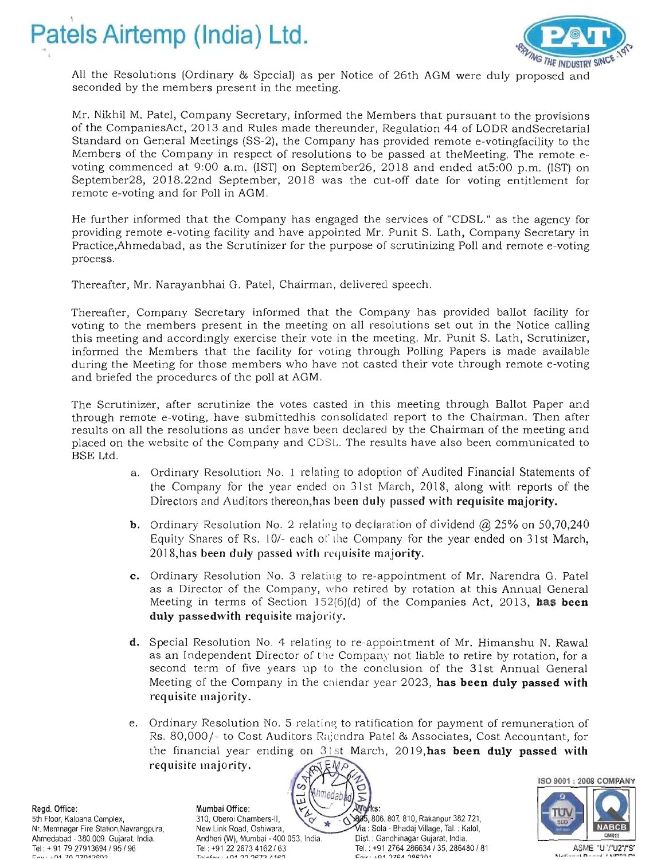



All the Resolutions (Ordinary & Special) as per Notice of 26th AGM were duly proposed and seconded by the members present in the meeting.

Mr. Nikhil M. Patel, Company Secretary, informed the Members that pursuant to the provisions of the CompaniesAct, 2013 and Rules made thereunder, Regulation 44 of LODR andSecretarial Standard on General Meetings (SS-2), the Company has provided remote e-votingfacility to the Members of the Company in respect of resolutions to be passed at theMeeting. The remote evoting commenced at 9:00 a.m. (1ST) on September26, 2018 and ended at5:00 p.m. (1ST) on September28, 2018.22nd September, 2018 was the cut-off date for voting entitlement for remote e-voting and for Poll in AGM.

He further informed that the Company has engaged the services of "CDSL." as the agency for providing remote e-voting facility and have appointed Mr. Punit S. Lath, Company Secretary in Practice,Ahmedabad, as the Scrutinizer for the purpose of scrutinizing Poll and remote e-voting process.

Thereafter, Mr. Narayanbhai G. Patel, Chairman, delivered speech.

Thereafter, Company Secretary informed that the Company has provided ballot facility for voting to the members present in the meeting on all resolutions set out in the Notice calling this meeting and accordingly exercise their vote in the meeting. Mr. Punit S. Lath, Scrutinizer, informed the Members that the facility for voting through Polling Papers is made available during the Meeting for those members who have not casted their vote through remote e-voting and briefed the procedures of the poll at AGM.

The Scrutinizer, after scrutinize the votes casted in this meeting through Ballot Paper and through remote e-voting, have submittedhis consolidated report to the Chairman. Then after results on all the resolutions as under have been declared by the Chairman of the meeting and placed on the website of the Company and CDS L. The results have also been communicated to BSE Ltd.

- a. Ordinary Resolution No.1 relating to adoption of Audited Financial Statements of the Company for the year ended on 3] st March, 2018, along with reports of the Directors and Auditors thereon,has been duly passed with requisite majority.
- **b.** Ordinary Resolution No. 2 relating to declaration of dividend  $\omega$  25% on 50,70,240 Equity Shares of Rs. 10/- each of the Company for the year ended on 31st March, 2018,has been duly passed with requisite majority.
- c. Ordinary Resolution No. 3 relating to re-appointment of Mr. Narendra G. Patel as a Director of the Company, who retired by rotation at this Annual General Meeting in terms of Section 152(6)(d) of the Companies Act, 2013, has been duly passedwith requisite majority.
- **d.** Special Resolution No. 4 relating to re-appointment of Mr. Himanshu N. Rawal as an Independent Director of the Company not liable to retire by rotation, for a second term of five years up to the conclusion of the 31st Annual General Meeting of the Company in the calendar year 2023, has been duly passed with requisite majority.
- e. Ordinary Resolution No. 5 relating to ratification for payment of remuneration of Rs. 80,000/- to Cost Auditors Rajendra Patel & Associates, Cost Accountant, for the financial year ending on  $31$  st March, 2019, has been duly passed with requisite majority.

ISO 9001 ; 2008 COMPANY

5th Floor, Kalpana Complex, Nr. Memnagar Fire Station, Navrangpura, Ahmedabad - 380 009. Gujarat, India. Ahmedabad - 380 009. Gujarat, India. Andheri (W), Mumbai - 400 053. India. Tel: + 91 79 27913694 / 95 / 96 Tel: +91 22 2673 4162 / 63<br>East + 01 70 27013693

Regd. Office: Mumbai Office: 310, Oberoi Chambers-II,  $\tilde{\circ}$ New Link Road, Oshiwara,

 $\overline{\mathbf{z}}$ **Wo** fks:  $\blacktriangleright$ 

895, 806, 807, 810, Rakanpur 382 721, Via : Sola - Bhadaj Village, Tal. : Kalol, Dist.: Gandhinagar Gujarat, India. ASME • U·i U2"i S· ... \_\_ I n \_\_ ~ II .. I ..... '" n .. t:,..,v ' o!-Q1 7Q '1701 'lc:.O'1 Taln.f,..,v· ,,-Q1 '1'1 '1&::7'1 A 1&::'1